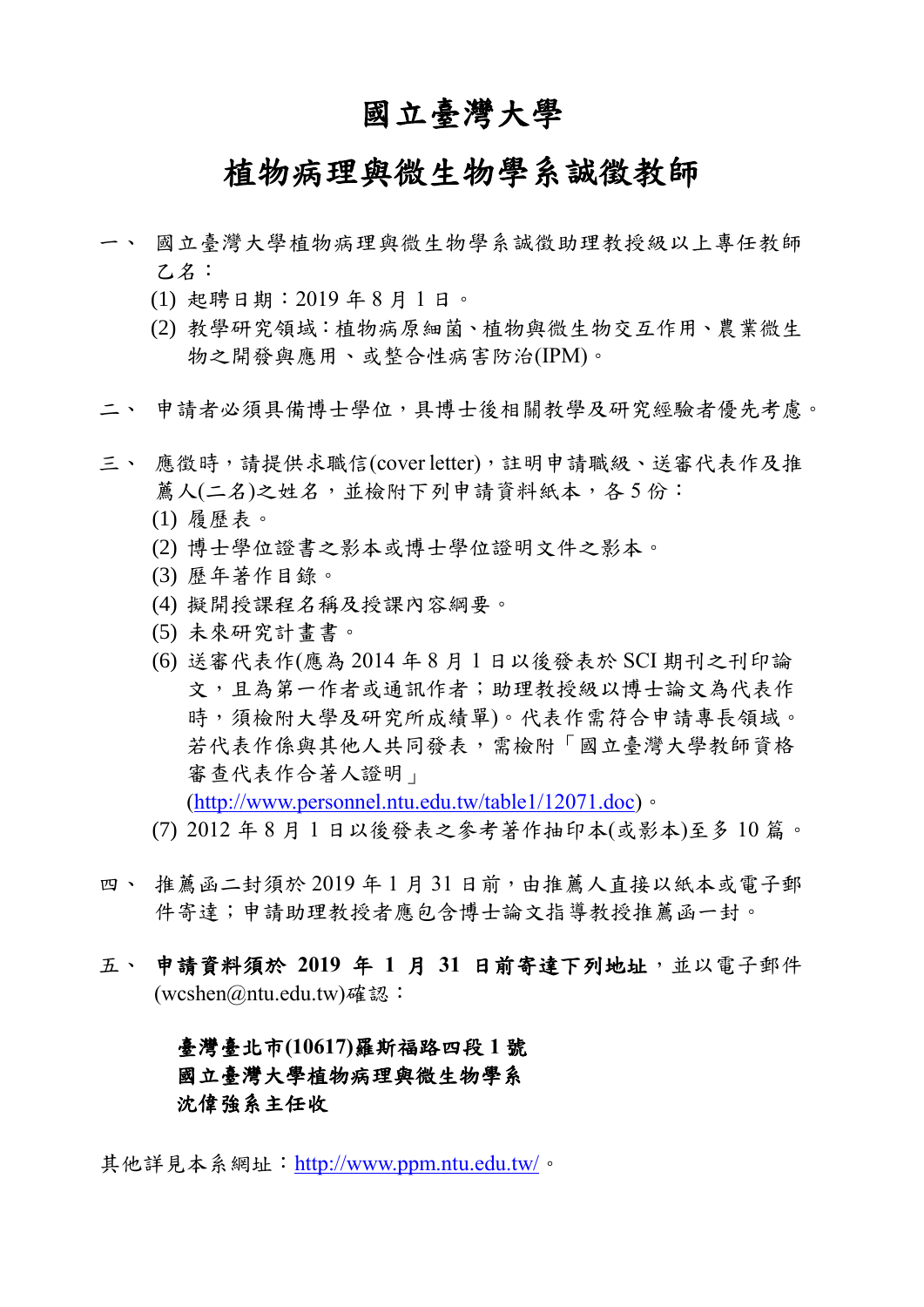### 國立臺灣大學

# 植物病理與微生物學系誠徵教師

- 一、 國立臺灣大學植物病理與微生物學系誠徵助理教授級以上專任教師 乙名:
	- (1) 起聘日期:2019 年 8 月 1 日。
	- (2) 教學研究領域:植物病原細菌、植物與微生物交互作用、農業微生 物之開發與應用、或整合性病害防治(IPM)。
- 二、 申請者必須具備博士學位,具博士後相關教學及研究經驗者優先考慮。
- 三、 應徵時,請提供求職信(coverletter),註明申請職級、送審代表作及推 薦人(二名)之姓名,並檢附下列申請資料紙本,各5份:
	- (1) 履歷表。
	- (2) 博士學位證書之影本或博士學位證明文件之影本。
	- (3) 歷年著作目錄。
	- (4) 擬開授課程名稱及授課內容綱要。
	- (5) 未來研究計畫書。
	- (6) 送審代表作(應為 2014 年 8 月 1 日以後發表於 SCI 期刊之刊印論 文,且為第一作者或通訊作者;助理教授級以博士論文為代表作 時,須檢附大學及研究所成績單)。代表作需符合申請專長領域。 若代表作係與其他人共同發表,需檢附「國立臺灣大學教師資格 審查代表作合著人證明」

[\(http://www.personnel.ntu.edu.tw/table1/12071.doc\)](http://www.personnel.ntu.edu.tw/table1/12071.doc)。

- (7) 2012 年 8 月 1 日以後發表之參考著作抽印本(或影本)至多 10 篇。
- 四、推薦函二封須於 2019年1月31日前,由推薦人直接以紙本或電子郵 件寄達;申請助理教授者應包含博士論文指導教授推薦函一封。
- 五、 申請資料須於 **2019** 年 **1** 月 **31** 日前寄達下列地址,並以電子郵件 (wcshen@ntu.edu.tw)確認:

#### 臺灣臺北市**(10617)**羅斯福路四段 **1** 號 國立臺灣大學植物病理與微生物學系 沈偉強系主任收

其他詳見本系網址:<http://www.ppm.ntu.edu.tw/>。